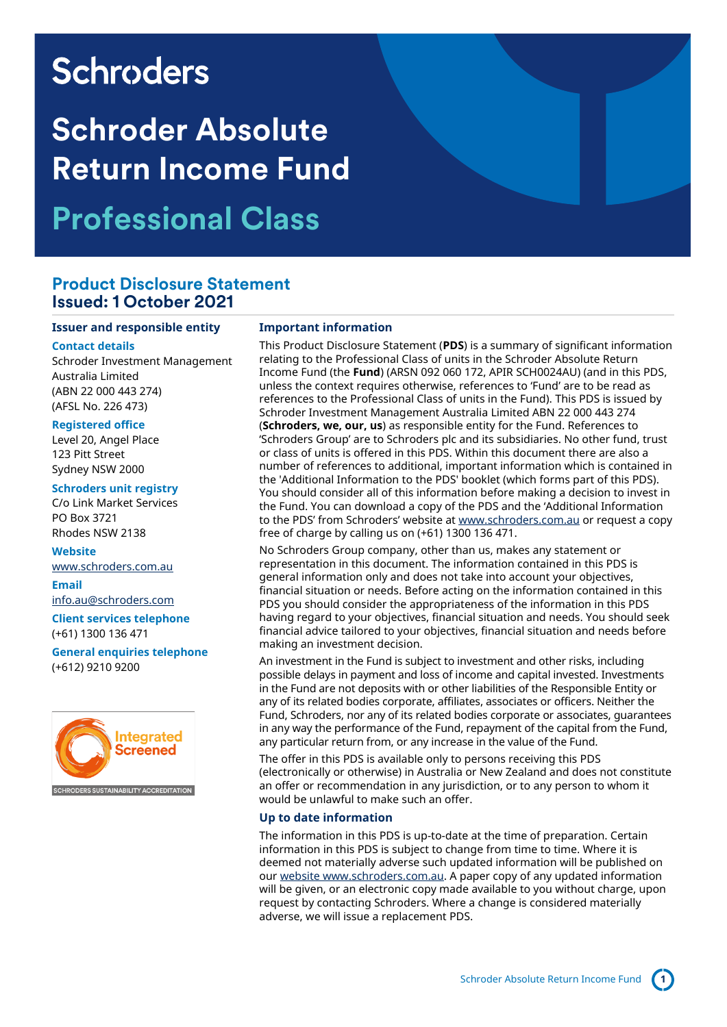# **Schroders**

# **Schroder Absolute Return Income Fund Professional Class**

### **Product Disclosure Statement Issued: 1 October 2021**

#### **Issuer and responsible entity**

### **Contact details**

Schroder Investment Management Australia Limited (ABN 22 000 443 274) (AFSL No. 226 473)

### **Registered office**

Level 20, Angel Place 123 Pitt Street Sydney NSW 2000

### **Schroders unit registry**

C/o Link Market Services PO Box 3721 Rhodes NSW 2138

### **Website**

[www.schroders.com.au](file://///lon0301.london.schroders.com/dfs/Data/DTA/dtp/Studio%20jobs%20and%20resources/Presentations%20-%20projects/Jobs%202021/Q3%202021/601952_SC_Word_Australian%20PDS%20word%20document%20templates/previous%20job%20601842/www.schroders.com.au)

#### **Email**

[info.au@schroders.com](mailto:info.au@schroders.com)

**Client services telephone** (+61) 1300 136 471

**General enquiries telephone** (+612) 9210 9200



### **Important information**

This Product Disclosure Statement (**PDS**) is a summary of significant information relating to the Professional Class of units in the Schroder Absolute Return Income Fund (the **Fund**) (ARSN 092 060 172, APIR SCH0024AU) (and in this PDS, unless the context requires otherwise, references to 'Fund' are to be read as references to the Professional Class of units in the Fund). This PDS is issued by Schroder Investment Management Australia Limited ABN 22 000 443 274 (**Schroders, we, our, us**) as responsible entity for the Fund. References to 'Schroders Group' are to Schroders plc and its subsidiaries. No other fund, trust or class of units is offered in this PDS. Within this document there are also a number of references to additional, important information which is contained in the 'Additional Information to the PDS' booklet (which forms part of this PDS). You should consider all of this information before making a decision to invest in the Fund. You can download a copy of the PDS and the 'Additional Information to the PDS' from Schroders' website at [www.schroders.com.au](http://www.schroders.com.au/) or request a copy free of charge by calling us on (+61) 1300 136 471.

No Schroders Group company, other than us, makes any statement or representation in this document. The information contained in this PDS is general information only and does not take into account your objectives, financial situation or needs. Before acting on the information contained in this PDS you should consider the appropriateness of the information in this PDS having regard to your objectives, financial situation and needs. You should seek financial advice tailored to your objectives, financial situation and needs before making an investment decision.

An investment in the Fund is subject to investment and other risks, including possible delays in payment and loss of income and capital invested. Investments in the Fund are not deposits with or other liabilities of the Responsible Entity or any of its related bodies corporate, affiliates, associates or officers. Neither the Fund, Schroders, nor any of its related bodies corporate or associates, guarantees in any way the performance of the Fund, repayment of the capital from the Fund, any particular return from, or any increase in the value of the Fund.

The offer in this PDS is available only to persons receiving this PDS (electronically or otherwise) in Australia or New Zealand and does not constitute an offer or recommendation in any jurisdiction, or to any person to whom it would be unlawful to make such an offer.

### **Up to date information**

The information in this PDS is up-to-date at the time of preparation. Certain information in this PDS is subject to change from time to time. Where it is deemed not materially adverse such updated information will be published on our websit[e www.schroders.com.au.](http://www.schroders.com.au/) A paper copy of any updated information will be given, or an electronic copy made available to you without charge, upon request by contacting Schroders. Where a change is considered materially adverse, we will issue a replacement PDS.

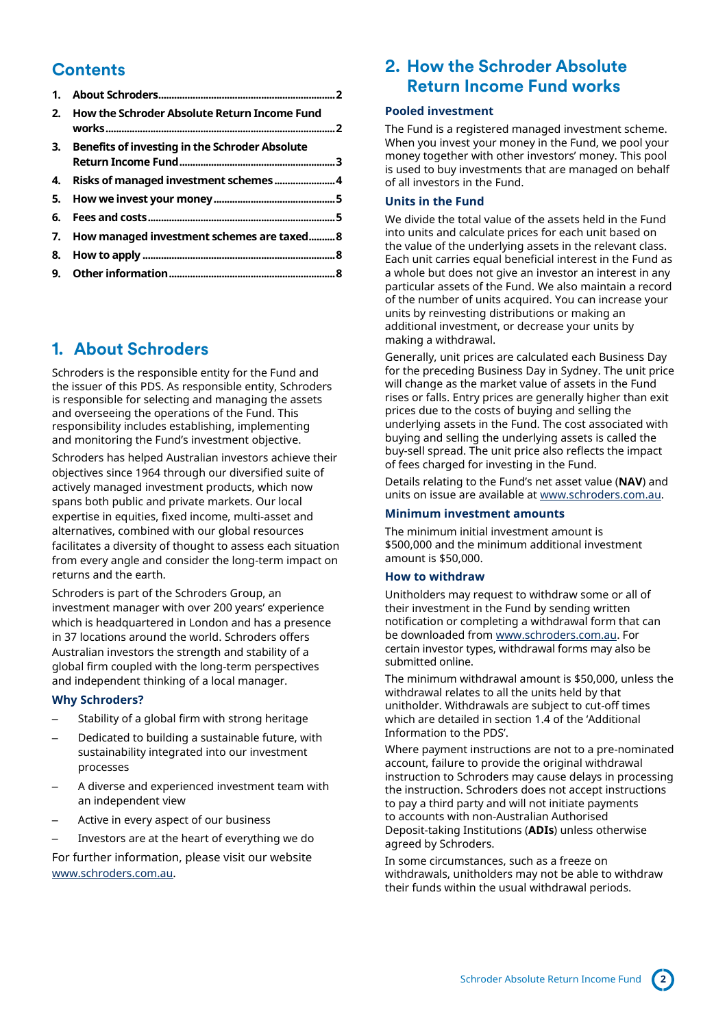## **Contents**

| 2. | <b>How the Schroder Absolute Return Income Fund</b> |  |
|----|-----------------------------------------------------|--|
|    | 3. Benefits of investing in the Schroder Absolute   |  |
|    |                                                     |  |
|    |                                                     |  |
|    |                                                     |  |
|    | 7. How managed investment schemes are taxed8        |  |
|    |                                                     |  |
|    |                                                     |  |

# <span id="page-1-0"></span>**1. About Schroders**

Schroders is the responsible entity for the Fund and the issuer of this PDS. As responsible entity, Schroders is responsible for selecting and managing the assets and overseeing the operations of the Fund. This responsibility includes establishing, implementing and monitoring the Fund's investment objective.

Schroders has helped Australian investors achieve their objectives since 1964 through our diversified suite of actively managed investment products, which now spans both public and private markets. Our local expertise in equities, fixed income, multi-asset and alternatives, combined with our global resources facilitates a diversity of thought to assess each situation from every angle and consider the long-term impact on returns and the earth.

Schroders is part of the Schroders Group, an investment manager with over 200 years' experience which is headquartered in London and has a presence in 37 locations around the world. Schroders offers Australian investors the strength and stability of a global firm coupled with the long-term perspectives and independent thinking of a local manager.

### **Why Schroders?**

- Stability of a global firm with strong heritage
- Dedicated to building a sustainable future, with sustainability integrated into our investment processes
- A diverse and experienced investment team with an independent view
- Active in every aspect of our business
- Investors are at the heart of everything we do

For further information, please visit our website [www.schroders.com.au](http://www.schroders.com.au/).

## <span id="page-1-1"></span>**2. How the Schroder Absolute Return Income Fund works**

### **Pooled investment**

The Fund is a registered managed investment scheme. When you invest your money in the Fund, we pool your money together with other investors' money. This pool is used to buy investments that are managed on behalf of all investors in the Fund.

### **Units in the Fund**

We divide the total value of the assets held in the Fund into units and calculate prices for each unit based on the value of the underlying assets in the relevant class. Each unit carries equal beneficial interest in the Fund as a whole but does not give an investor an interest in any particular assets of the Fund. We also maintain a record of the number of units acquired. You can increase your units by reinvesting distributions or making an additional investment, or decrease your units by making a withdrawal.

Generally, unit prices are calculated each Business Day for the preceding Business Day in Sydney. The unit price will change as the market value of assets in the Fund rises or falls. Entry prices are generally higher than exit prices due to the costs of buying and selling the underlying assets in the Fund. The cost associated with buying and selling the underlying assets is called the buy-sell spread. The unit price also reflects the impact of fees charged for investing in the Fund.

Details relating to the Fund's net asset value (**NAV**) and units on issue are available a[t www.schroders.com.au.](http://www.schroders.com.au/)

### **Minimum investment amounts**

The minimum initial investment amount is \$500,000 and the minimum additional investment amount is \$50,000.

### **How to withdraw**

Unitholders may request to withdraw some or all of their investment in the Fund by sending written notification or completing a withdrawal form that can be downloaded from [www.schroders.com.au.](http://www.schroders.com.au/) For certain investor types, withdrawal forms may also be submitted online.

The minimum withdrawal amount is \$50,000, unless the withdrawal relates to all the units held by that unitholder. Withdrawals are subject to cut-off times which are detailed in section 1.4 of the 'Additional Information to the PDS'.

Where payment instructions are not to a pre-nominated account, failure to provide the original withdrawal instruction to Schroders may cause delays in processing the instruction. Schroders does not accept instructions to pay a third party and will not initiate payments to accounts with non-Australian Authorised Deposit-taking Institutions (**ADIs**) unless otherwise agreed by Schroders.

In some circumstances, such as a freeze on withdrawals, unitholders may not be able to withdraw their funds within the usual withdrawal periods.

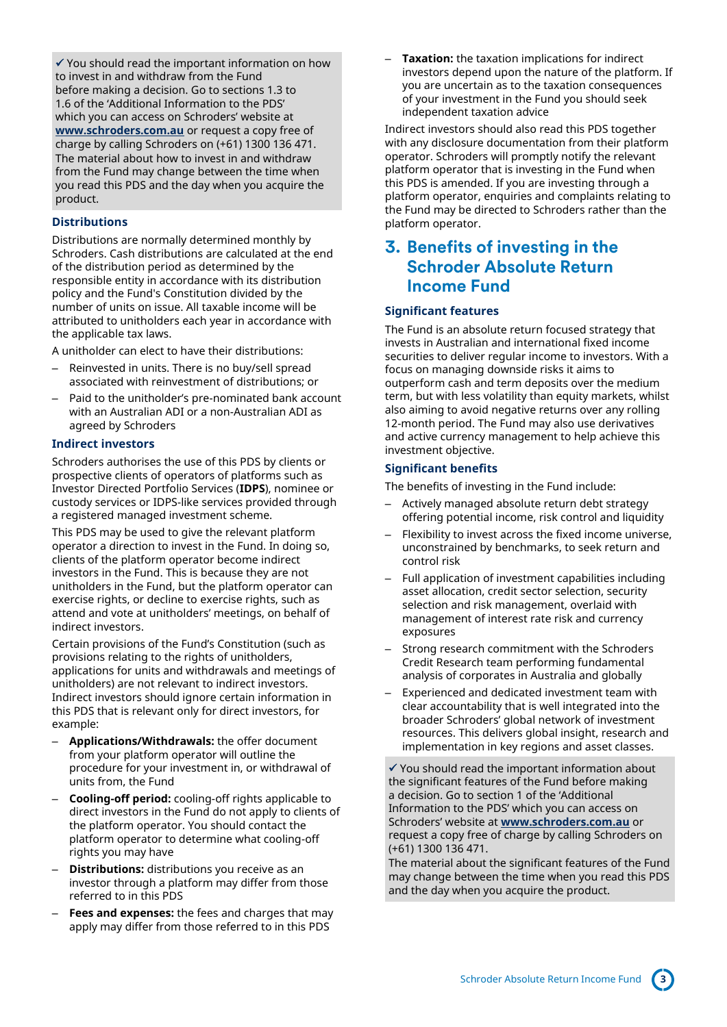✓ You should read the important information on how to invest in and withdraw from the Fund before making a decision. Go to sections 1.3 to 1.6 of the 'Additional Information to the PDS' which you can access on Schroders' website at **[www.schroders.com.au](http://www.schroders.com.au/)** or request a copy free of charge by calling Schroders on (+61) 1300 136 471. The material about how to invest in and withdraw from the Fund may change between the time when you read this PDS and the day when you acquire the product.

### **Distributions**

Distributions are normally determined monthly by Schroders. Cash distributions are calculated at the end of the distribution period as determined by the responsible entity in accordance with its distribution policy and the Fund's Constitution divided by the number of units on issue. All taxable income will be attributed to unitholders each year in accordance with the applicable tax laws.

A unitholder can elect to have their distributions:

- Reinvested in units. There is no buy/sell spread associated with reinvestment of distributions; or
- Paid to the unitholder's pre-nominated bank account with an Australian ADI or a non-Australian ADI as agreed by Schroders

### **Indirect investors**

Schroders authorises the use of this PDS by clients or prospective clients of operators of platforms such as Investor Directed Portfolio Services (**IDPS**), nominee or custody services or IDPS-like services provided through a registered managed investment scheme.

This PDS may be used to give the relevant platform operator a direction to invest in the Fund. In doing so, clients of the platform operator become indirect investors in the Fund. This is because they are not unitholders in the Fund, but the platform operator can exercise rights, or decline to exercise rights, such as attend and vote at unitholders' meetings, on behalf of indirect investors.

Certain provisions of the Fund's Constitution (such as provisions relating to the rights of unitholders, applications for units and withdrawals and meetings of unitholders) are not relevant to indirect investors. Indirect investors should ignore certain information in this PDS that is relevant only for direct investors, for example:

- **Applications/Withdrawals:** the offer document from your platform operator will outline the procedure for your investment in, or withdrawal of units from, the Fund
- **Cooling-off period:** cooling-off rights applicable to direct investors in the Fund do not apply to clients of the platform operator. You should contact the platform operator to determine what cooling-off rights you may have
- **Distributions:** distributions you receive as an investor through a platform may differ from those referred to in this PDS
- **Fees and expenses:** the fees and charges that may apply may differ from those referred to in this PDS

– **Taxation:** the taxation implications for indirect investors depend upon the nature of the platform. If you are uncertain as to the taxation consequences of your investment in the Fund you should seek independent taxation advice

Indirect investors should also read this PDS together with any disclosure documentation from their platform operator. Schroders will promptly notify the relevant platform operator that is investing in the Fund when this PDS is amended. If you are investing through a platform operator, enquiries and complaints relating to the Fund may be directed to Schroders rather than the platform operator.

## <span id="page-2-0"></span>**3. Benefits of investing in the Schroder Absolute Return Income Fund**

### **Significant features**

The Fund is an absolute return focused strategy that invests in Australian and international fixed income securities to deliver regular income to investors. With a focus on managing downside risks it aims to outperform cash and term deposits over the medium term, but with less volatility than equity markets, whilst also aiming to avoid negative returns over any rolling 12-month period. The Fund may also use derivatives and active currency management to help achieve this investment objective.

### **Significant benefits**

The benefits of investing in the Fund include:

- Actively managed absolute return debt strategy offering potential income, risk control and liquidity
- Flexibility to invest across the fixed income universe, unconstrained by benchmarks, to seek return and control risk
- Full application of investment capabilities including asset allocation, credit sector selection, security selection and risk management, overlaid with management of interest rate risk and currency exposures
- Strong research commitment with the Schroders Credit Research team performing fundamental analysis of corporates in Australia and globally
- Experienced and dedicated investment team with clear accountability that is well integrated into the broader Schroders' global network of investment resources. This delivers global insight, research and implementation in key regions and asset classes.

✓ You should read the important information about the significant features of the Fund before making a decision. Go to section 1 of the 'Additional Information to the PDS' which you can access on Schroders' website at **[www.schroders.com.au](http://www.schroders.com.au/)** or request a copy free of charge by calling Schroders on (+61) 1300 136 471.

The material about the significant features of the Fund may change between the time when you read this PDS and the day when you acquire the product.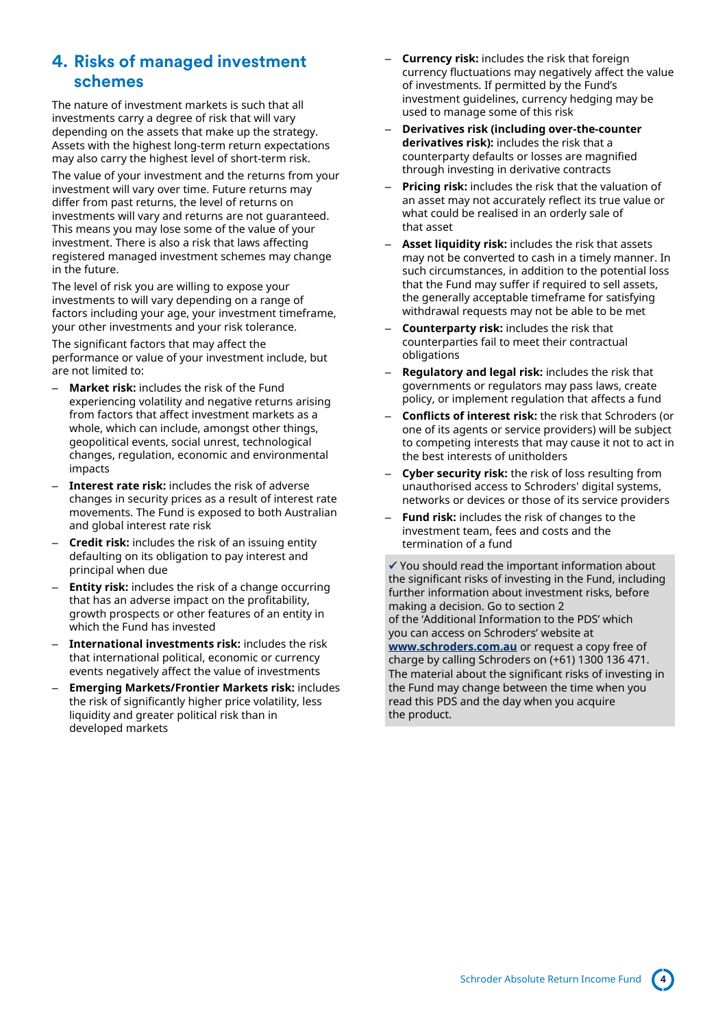## <span id="page-3-0"></span>**4. Risks of managed investment schemes**

The nature of investment markets is such that all investments carry a degree of risk that will vary depending on the assets that make up the strategy. Assets with the highest long-term return expectations may also carry the highest level of short-term risk.

The value of your investment and the returns from your investment will vary over time. Future returns may differ from past returns, the level of returns on investments will vary and returns are not guaranteed. This means you may lose some of the value of your investment. There is also a risk that laws affecting registered managed investment schemes may change in the future.

The level of risk you are willing to expose your investments to will vary depending on a range of factors including your age, your investment timeframe, your other investments and your risk tolerance.

The significant factors that may affect the performance or value of your investment include, but are not limited to:

- **Market risk:** includes the risk of the Fund experiencing volatility and negative returns arising from factors that affect investment markets as a whole, which can include, amongst other things, geopolitical events, social unrest, technological changes, regulation, economic and environmental impacts
- Interest rate risk: includes the risk of adverse changes in security prices as a result of interest rate movements. The Fund is exposed to both Australian and global interest rate risk
- **Credit risk:** includes the risk of an issuing entity defaulting on its obligation to pay interest and principal when due
- **Entity risk:** includes the risk of a change occurring that has an adverse impact on the profitability, growth prospects or other features of an entity in which the Fund has invested
- **International investments risk:** includes the risk that international political, economic or currency events negatively affect the value of investments
- **Emerging Markets/Frontier Markets risk:** includes the risk of significantly higher price volatility, less liquidity and greater political risk than in developed markets
- **Currency risk:** includes the risk that foreign currency fluctuations may negatively affect the value of investments. If permitted by the Fund's investment guidelines, currency hedging may be used to manage some of this risk
- **Derivatives risk (including over-the-counter derivatives risk):** includes the risk that a counterparty defaults or losses are magnified through investing in derivative contracts
- **Pricing risk:** includes the risk that the valuation of an asset may not accurately reflect its true value or what could be realised in an orderly sale of that asset
- Asset liquidity risk: includes the risk that assets may not be converted to cash in a timely manner. In such circumstances, in addition to the potential loss that the Fund may suffer if required to sell assets, the generally acceptable timeframe for satisfying withdrawal requests may not be able to be met
- **Counterparty risk:** includes the risk that counterparties fail to meet their contractual obligations
- **Regulatory and legal risk:** includes the risk that governments or regulators may pass laws, create policy, or implement regulation that affects a fund
- **Conflicts of interest risk:** the risk that Schroders (or one of its agents or service providers) will be subject to competing interests that may cause it not to act in the best interests of unitholders
- **Cyber security risk:** the risk of loss resulting from unauthorised access to Schroders' digital systems, networks or devices or those of its service providers
- **Fund risk:** includes the risk of changes to the investment team, fees and costs and the termination of a fund

 $\checkmark$  You should read the important information about the significant risks of investing in the Fund, including further information about investment risks, before making a decision. Go to section 2 of the 'Additional Information to the PDS' which you can access on Schroders' website at **[www.schroders.com.au](http://www.schroders.com.au/)** or request a copy free of charge by calling Schroders on (+61) 1300 136 471. The material about the significant risks of investing in the Fund may change between the time when you read this PDS and the day when you acquire the product.

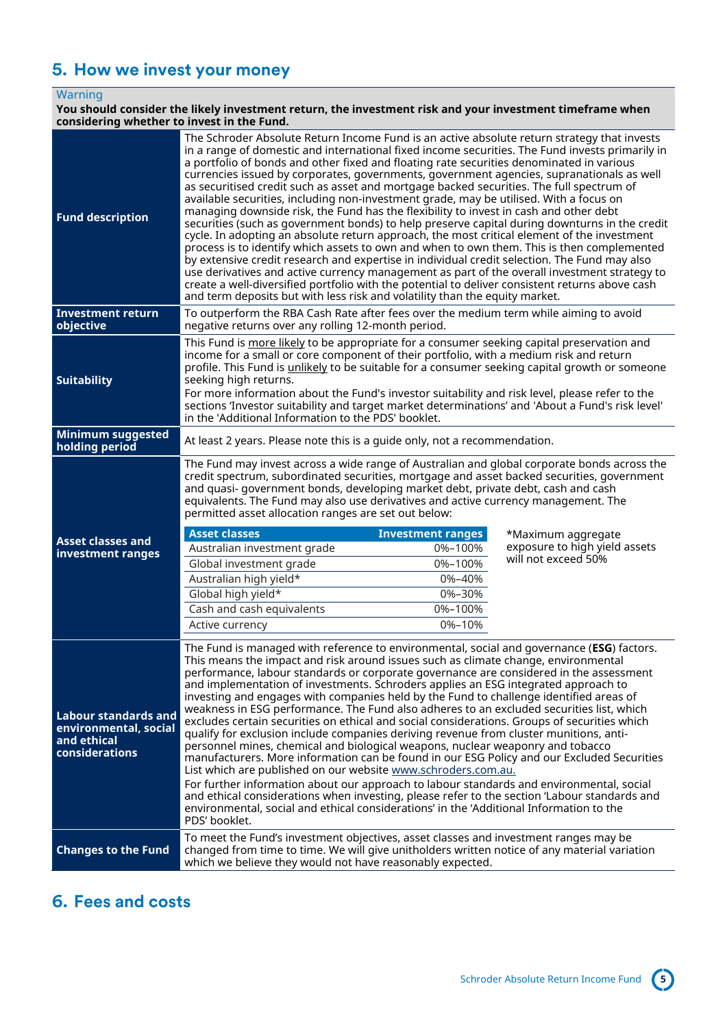# <span id="page-4-0"></span>**5. How we invest your money**

### **Warning**

#### **You should consider the likely investment return, the investment risk and your investment timeframe when considering whether to invest in the Fund.**

| <b>Fund description</b>                                                                      | The Schroder Absolute Return Income Fund is an active absolute return strategy that invests<br>in a range of domestic and international fixed income securities. The Fund invests primarily in<br>a portfolio of bonds and other fixed and floating rate securities denominated in various<br>currencies issued by corporates, governments, government agencies, supranationals as well<br>as securitised credit such as asset and mortgage backed securities. The full spectrum of<br>available securities, including non-investment grade, may be utilised. With a focus on<br>managing downside risk, the Fund has the flexibility to invest in cash and other debt<br>securities (such as government bonds) to help preserve capital during downturns in the credit<br>cycle. In adopting an absolute return approach, the most critical element of the investment<br>process is to identify which assets to own and when to own them. This is then complemented<br>by extensive credit research and expertise in individual credit selection. The Fund may also<br>use derivatives and active currency management as part of the overall investment strategy to<br>create a well-diversified portfolio with the potential to deliver consistent returns above cash<br>and term deposits but with less risk and volatility than the equity market. |                                                                                         |                                                                            |
|----------------------------------------------------------------------------------------------|--------------------------------------------------------------------------------------------------------------------------------------------------------------------------------------------------------------------------------------------------------------------------------------------------------------------------------------------------------------------------------------------------------------------------------------------------------------------------------------------------------------------------------------------------------------------------------------------------------------------------------------------------------------------------------------------------------------------------------------------------------------------------------------------------------------------------------------------------------------------------------------------------------------------------------------------------------------------------------------------------------------------------------------------------------------------------------------------------------------------------------------------------------------------------------------------------------------------------------------------------------------------------------------------------------------------------------------------------------|-----------------------------------------------------------------------------------------|----------------------------------------------------------------------------|
| <b>Investment return</b><br>objective                                                        | To outperform the RBA Cash Rate after fees over the medium term while aiming to avoid<br>negative returns over any rolling 12-month period.                                                                                                                                                                                                                                                                                                                                                                                                                                                                                                                                                                                                                                                                                                                                                                                                                                                                                                                                                                                                                                                                                                                                                                                                            |                                                                                         |                                                                            |
| <b>Suitability</b>                                                                           | This Fund is more likely to be appropriate for a consumer seeking capital preservation and<br>income for a small or core component of their portfolio, with a medium risk and return<br>profile. This Fund is unlikely to be suitable for a consumer seeking capital growth or someone<br>seeking high returns.<br>For more information about the Fund's investor suitability and risk level, please refer to the<br>sections 'Investor suitability and target market determinations' and 'About a Fund's risk level'<br>in the 'Additional Information to the PDS' booklet.                                                                                                                                                                                                                                                                                                                                                                                                                                                                                                                                                                                                                                                                                                                                                                           |                                                                                         |                                                                            |
| <b>Minimum suggested</b><br>holding period                                                   | At least 2 years. Please note this is a guide only, not a recommendation.                                                                                                                                                                                                                                                                                                                                                                                                                                                                                                                                                                                                                                                                                                                                                                                                                                                                                                                                                                                                                                                                                                                                                                                                                                                                              |                                                                                         |                                                                            |
| <b>Asset classes and</b><br>investment ranges                                                | The Fund may invest across a wide range of Australian and global corporate bonds across the<br>credit spectrum, subordinated securities, mortgage and asset backed securities, government<br>and quasi- government bonds, developing market debt, private debt, cash and cash<br>equivalents. The Fund may also use derivatives and active currency management. The<br>permitted asset allocation ranges are set out below:<br><b>Asset classes</b><br>Australian investment grade<br>Global investment grade<br>Australian high yield*<br>Global high yield*<br>Cash and cash equivalents<br>Active currency                                                                                                                                                                                                                                                                                                                                                                                                                                                                                                                                                                                                                                                                                                                                          | <b>Investment ranges</b><br>0%-100%<br>0%-100%<br>0%-40%<br>0%-30%<br>0%-100%<br>0%-10% | *Maximum aggregate<br>exposure to high yield assets<br>will not exceed 50% |
| <b>Labour standards and</b><br>environmental, social<br>and ethical<br><b>considerations</b> | The Fund is managed with reference to environmental, social and governance (ESG) factors.<br>This means the impact and risk around issues such as climate change, environmental<br>performance, labour standards or corporate governance are considered in the assessment<br>and implementation of investments. Schroders applies an ESG integrated approach to<br>investing and engages with companies held by the Fund to challenge identified areas of<br>weakness in ESG performance. The Fund also adheres to an excluded securities list, which<br>excludes certain securities on ethical and social considerations. Groups of securities which<br>qualify for exclusion include companies deriving revenue from cluster munitions, anti-<br>personnel mines, chemical and biological weapons, nuclear weaponry and tobacco<br>manufacturers. More information can be found in our ESG Policy and our Excluded Securities<br>List which are published on our website www.schroders.com.au.<br>For further information about our approach to labour standards and environmental, social<br>and ethical considerations when investing, please refer to the section 'Labour standards and<br>environmental, social and ethical considerations' in the 'Additional Information to the<br>PDS' booklet.                                               |                                                                                         |                                                                            |
|                                                                                              |                                                                                                                                                                                                                                                                                                                                                                                                                                                                                                                                                                                                                                                                                                                                                                                                                                                                                                                                                                                                                                                                                                                                                                                                                                                                                                                                                        |                                                                                         |                                                                            |

# <span id="page-4-1"></span>**6. Fees and costs**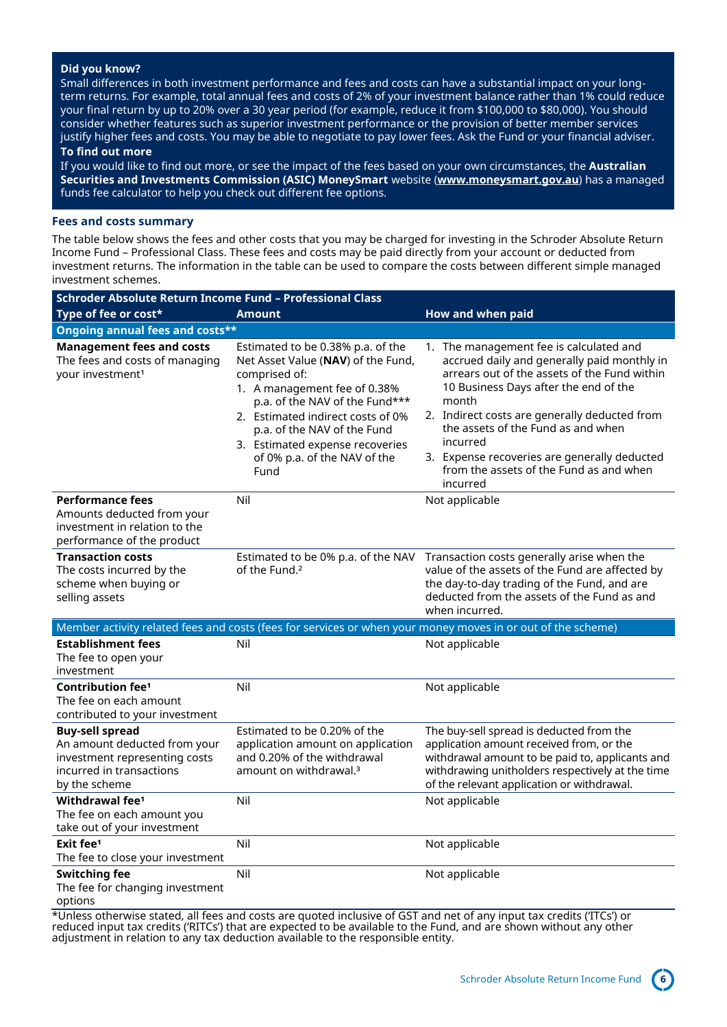### **Did you know?**

Small differences in both investment performance and fees and costs can have a substantial impact on your longterm returns. For example, total annual fees and costs of 2% of your investment balance rather than 1% could reduce your final return by up to 20% over a 30 year period (for example, reduce it from \$100,000 to \$80,000). You should consider whether features such as superior investment performance or the provision of better member services justify higher fees and costs. You may be able to negotiate to pay lower fees. Ask the Fund or your financial adviser. **To find out more**

If you would like to find out more, or see the impact of the fees based on your own circumstances, the **Australian Securities and Investments Commission (ASIC) MoneySmart** website (**[www.moneysmart.gov.au](http://www.moneysmart.gov.au/)**) has a managed funds fee calculator to help you check out different fee options.

#### **Fees and costs summary**

The table below shows the fees and other costs that you may be charged for investing in the Schroder Absolute Return Income Fund – Professional Class. These fees and costs may be paid directly from your account or deducted from investment returns. The information in the table can be used to compare the costs between different simple managed investment schemes.

| Schroder Absolute Return Income Fund - Professional Class                                                                            |                                                                                                                                                                                                                                                                                                           |                                                                                                                                                                                                                                                                                                                                                                                                    |  |  |  |  |
|--------------------------------------------------------------------------------------------------------------------------------------|-----------------------------------------------------------------------------------------------------------------------------------------------------------------------------------------------------------------------------------------------------------------------------------------------------------|----------------------------------------------------------------------------------------------------------------------------------------------------------------------------------------------------------------------------------------------------------------------------------------------------------------------------------------------------------------------------------------------------|--|--|--|--|
| Type of fee or cost*                                                                                                                 | <b>Amount</b>                                                                                                                                                                                                                                                                                             | How and when paid                                                                                                                                                                                                                                                                                                                                                                                  |  |  |  |  |
| Ongoing annual fees and costs**                                                                                                      |                                                                                                                                                                                                                                                                                                           |                                                                                                                                                                                                                                                                                                                                                                                                    |  |  |  |  |
| <b>Management fees and costs</b><br>The fees and costs of managing<br>your investment <sup>1</sup>                                   | Estimated to be 0.38% p.a. of the<br>Net Asset Value (NAV) of the Fund,<br>comprised of:<br>1. A management fee of 0.38%<br>p.a. of the NAV of the Fund***<br>2. Estimated indirect costs of 0%<br>p.a. of the NAV of the Fund<br>3. Estimated expense recoveries<br>of 0% p.a. of the NAV of the<br>Fund | 1. The management fee is calculated and<br>accrued daily and generally paid monthly in<br>arrears out of the assets of the Fund within<br>10 Business Days after the end of the<br>month<br>2. Indirect costs are generally deducted from<br>the assets of the Fund as and when<br>incurred<br>3. Expense recoveries are generally deducted<br>from the assets of the Fund as and when<br>incurred |  |  |  |  |
| <b>Performance fees</b><br>Amounts deducted from your<br>investment in relation to the<br>performance of the product                 | Nil                                                                                                                                                                                                                                                                                                       | Not applicable                                                                                                                                                                                                                                                                                                                                                                                     |  |  |  |  |
| <b>Transaction costs</b><br>The costs incurred by the<br>scheme when buying or<br>selling assets                                     | Estimated to be 0% p.a. of the NAV<br>of the Fund. <sup>2</sup>                                                                                                                                                                                                                                           | Transaction costs generally arise when the<br>value of the assets of the Fund are affected by<br>the day-to-day trading of the Fund, and are<br>deducted from the assets of the Fund as and<br>when incurred.                                                                                                                                                                                      |  |  |  |  |
|                                                                                                                                      |                                                                                                                                                                                                                                                                                                           | Member activity related fees and costs (fees for services or when your money moves in or out of the scheme)                                                                                                                                                                                                                                                                                        |  |  |  |  |
| <b>Establishment fees</b><br>The fee to open your<br>investment                                                                      | Nil                                                                                                                                                                                                                                                                                                       | Not applicable                                                                                                                                                                                                                                                                                                                                                                                     |  |  |  |  |
| <b>Contribution fee<sup>1</sup></b><br>The fee on each amount<br>contributed to your investment                                      | Nil                                                                                                                                                                                                                                                                                                       | Not applicable                                                                                                                                                                                                                                                                                                                                                                                     |  |  |  |  |
| <b>Buy-sell spread</b><br>An amount deducted from your<br>investment representing costs<br>incurred in transactions<br>by the scheme | Estimated to be 0.20% of the<br>application amount on application<br>and 0.20% of the withdrawal<br>amount on withdrawal. <sup>3</sup>                                                                                                                                                                    | The buy-sell spread is deducted from the<br>application amount received from, or the<br>withdrawal amount to be paid to, applicants and<br>withdrawing unitholders respectively at the time<br>of the relevant application or withdrawal.                                                                                                                                                          |  |  |  |  |
| Withdrawal fee <sup>1</sup><br>The fee on each amount you<br>take out of your investment                                             | Nil                                                                                                                                                                                                                                                                                                       | Not applicable                                                                                                                                                                                                                                                                                                                                                                                     |  |  |  |  |
| Exit fee <sup>1</sup><br>The fee to close your investment                                                                            | Nil                                                                                                                                                                                                                                                                                                       | Not applicable                                                                                                                                                                                                                                                                                                                                                                                     |  |  |  |  |
| <b>Switching fee</b><br>The fee for changing investment<br>options                                                                   | Nil                                                                                                                                                                                                                                                                                                       | Not applicable                                                                                                                                                                                                                                                                                                                                                                                     |  |  |  |  |

\*Unless otherwise stated, all fees and costs are quoted inclusive of GST and net of any input tax credits ('ITCs') or reduced input tax credits ('RITCs') that are expected to be available to the Fund, and are shown without any other adjustment in relation to any tax deduction available to the responsible entity.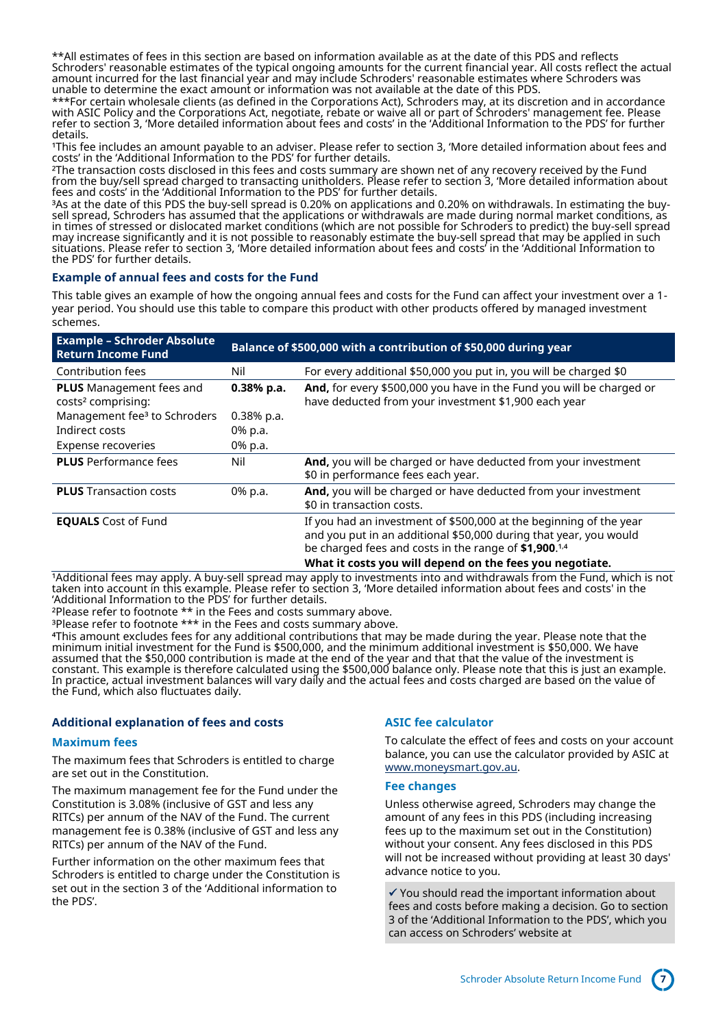\*\*All estimates of fees in this section are based on information available as at the date of this PDS and reflects Schroders' reasonable estimates of the typical ongoing amounts for the current financial year. All costs reflect the actual amount incurred for the last financial year and may include Schroders' reasonable estimates where Schroders was unable to determine the exact amount or information was not available at the date of this PDS.

\*\*\*For certain wholesale clients (as defined in the Corporations Act), Schroders may, at its discretion and in accordance with ASIC Policy and the Corporations Act, negotiate, rebate or waive all or part of Schroders' management fee. Please refer to section 3, 'More detailed information about fees and costs' in the 'Additional Information to the PDS' for further details.

This fee includes an amount payable to an adviser. Please refer to section 3, 'More detailed information about fees and costs' in the 'Additional Information to the PDS' for further details.

<sup>2</sup>The transaction costs disclosed in this fees and costs summary are shown net of any recovery received by the Fund from the buy/sell spread charged to transacting unitholders. Please refer to section 3, 'More detailed information about fees and costs' in the 'Additional Information to the PDS' for further details.

<sup>3</sup>As at the date of this PDS the buy-sell spread is 0.20% on applications and 0.20% on withdrawals. In estimating the buysell spread, Schroders has assumed that the applications or withdrawals are made during normal market conditions, as in times of stressed or dislocated market conditions (which are not possible for Schroders to predict) the buy-sell spread may increase significantly and it is not possible to reasonably estimate the buy-sell spread that may be applied in such situations. Please refer to section 3, 'More detailed information about fees and costs' in the 'Additional Information to the PDS' for further details.

### **Example of annual fees and costs for the Fund**

This table gives an example of how the ongoing annual fees and costs for the Fund can affect your investment over a 1 year period. You should use this table to compare this product with other products offered by managed investment schemes.

| <b>Example - Schroder Absolute</b><br><b>Return Income Fund</b>   | Balance of \$500,000 with a contribution of \$50,000 during year |                                                                                                                                                                                                                                                              |  |  |
|-------------------------------------------------------------------|------------------------------------------------------------------|--------------------------------------------------------------------------------------------------------------------------------------------------------------------------------------------------------------------------------------------------------------|--|--|
| Contribution fees                                                 | Nil                                                              | For every additional \$50,000 you put in, you will be charged \$0                                                                                                                                                                                            |  |  |
| <b>PLUS</b> Management fees and<br>costs <sup>2</sup> comprising: | $0.38%$ p.a.                                                     | And, for every \$500,000 you have in the Fund you will be charged or<br>have deducted from your investment \$1,900 each year                                                                                                                                 |  |  |
| Management fee <sup>3</sup> to Schroders                          | $0.38%$ p.a.                                                     |                                                                                                                                                                                                                                                              |  |  |
| Indirect costs                                                    | 0% p.a.                                                          |                                                                                                                                                                                                                                                              |  |  |
| Expense recoveries                                                | 0% p.a.                                                          |                                                                                                                                                                                                                                                              |  |  |
| <b>PLUS</b> Performance fees                                      | Nil                                                              | And, you will be charged or have deducted from your investment<br>\$0 in performance fees each year.                                                                                                                                                         |  |  |
| <b>PLUS</b> Transaction costs                                     | 0% p.a.                                                          | And, you will be charged or have deducted from your investment<br>\$0 in transaction costs.                                                                                                                                                                  |  |  |
| <b>EQUALS</b> Cost of Fund                                        |                                                                  | If you had an investment of \$500,000 at the beginning of the year<br>and you put in an additional \$50,000 during that year, you would<br>be charged fees and costs in the range of \$1,900.1,4<br>What it costs you will depend on the fees you negotiate. |  |  |

1Additional fees may apply. A buy-sell spread may apply to investments into and withdrawals from the Fund, which is not taken into account in this example. Please refer to section 3, 'More detailed information about fees and costs' in the 'Additional Information to the PDS' for further details.

²Please refer to footnote \*\* in the Fees and costs summary above.

<sup>3</sup>Please refer to footnote \*\*\* in the Fees and costs summary above.

⁴This amount excludes fees for any additional contributions that may be made during the year. Please note that the minimum initial investment for the Fund is \$500,000, and the minimum additional investment is \$50,000. We have assumed that the \$50,000 contribution is made at the end of the year and that that the value of the investment is constant. This example is therefore calculated using the \$500,000 balance only. Please note that this is just an example. In practice, actual investment balances will vary daily and the actual fees and costs charged are based on the value of the Fund, which also fluctuates daily.

### **Additional explanation of fees and costs**

### **Maximum fees**

The maximum fees that Schroders is entitled to charge are set out in the Constitution.

The maximum management fee for the Fund under the Constitution is 3.08% (inclusive of GST and less any RITCs) per annum of the NAV of the Fund. The current management fee is 0.38% (inclusive of GST and less any RITCs) per annum of the NAV of the Fund.

Further information on the other maximum fees that Schroders is entitled to charge under the Constitution is set out in the section 3 of the 'Additional information to the PDS'.

### **ASIC fee calculator**

To calculate the effect of fees and costs on your account balance, you can use the calculator provided by ASIC at [www.moneysmart.gov.au.](http://www.moneysmart.gov.au/)

#### **Fee changes**

Unless otherwise agreed, Schroders may change the amount of any fees in this PDS (including increasing fees up to the maximum set out in the Constitution) without your consent. Any fees disclosed in this PDS will not be increased without providing at least 30 days' advance notice to you.

 $\checkmark$  You should read the important information about fees and costs before making a decision. Go to section 3 of the 'Additional Information to the PDS', which you can access on Schroders' website at